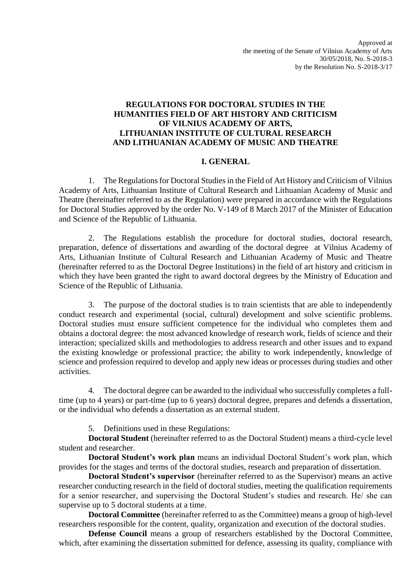# **REGULATIONS FOR DOCTORAL STUDIES IN THE HUMANITIES FIELD OF ART HISTORY AND CRITICISM OF VILNIUS ACADEMY OF ARTS, LITHUANIAN INSTITUTE OF CULTURAL RESEARCH AND LITHUANIAN ACADEMY OF MUSIC AND THEATRE**

# **I. GENERAL**

1. The Regulations for Doctoral Studies in the Field of Art History and Criticism of Vilnius Academy of Arts, Lithuanian Institute of Cultural Research and Lithuanian Academy of Music and Theatre (hereinafter referred to as the Regulation) were prepared in accordance with the Regulations for Doctoral Studies approved by the order No. V-149 of 8 March 2017 of the Minister of Education and Science of the Republic of Lithuania.

2. The Regulations establish the procedure for doctoral studies, doctoral research, preparation, defence of dissertations and awarding of the doctoral degree at Vilnius Academy of Arts, Lithuanian Institute of Cultural Research and Lithuanian Academy of Music and Theatre (hereinafter referred to as the Doctoral Degree Institutions) in the field of art history and criticism in which they have been granted the right to award doctoral degrees by the Ministry of Education and Science of the Republic of Lithuania.

3. The purpose of the doctoral studies is to train scientists that are able to independently conduct research and experimental (social, cultural) development and solve scientific problems. Doctoral studies must ensure sufficient competence for the individual who completes them and obtains a doctoral degree: the most advanced knowledge of research work, fields of science and their interaction; specialized skills and methodologies to address research and other issues and to expand the existing knowledge or professional practice; the ability to work independently, knowledge of science and profession required to develop and apply new ideas or processes during studies and other activities.

4. The doctoral degree can be awarded to the individual who successfully completes a fulltime (up to 4 years) or part-time (up to 6 years) doctoral degree, prepares and defends a dissertation, or the individual who defends a dissertation as an external student.

5. Definitions used in these Regulations:

**Doctoral Student** (hereinafter referred to as the Doctoral Student) means a third-cycle level student and researcher.

**Doctoral Student's work plan** means an individual Doctoral Student's work plan, which provides for the stages and terms of the doctoral studies, research and preparation of dissertation.

**Doctoral Student's supervisor** (hereinafter referred to as the Supervisor) means an active researcher conducting research in the field of doctoral studies, meeting the qualification requirements for a senior researcher, and supervising the Doctoral Student's studies and research. He/ she can supervise up to 5 doctoral students at a time.

**Doctoral Committee** (hereinafter referred to as the Committee) means a group of high-level researchers responsible for the content, quality, organization and execution of the doctoral studies.

**Defense Council** means a group of researchers established by the Doctoral Committee, which, after examining the dissertation submitted for defence, assessing its quality, compliance with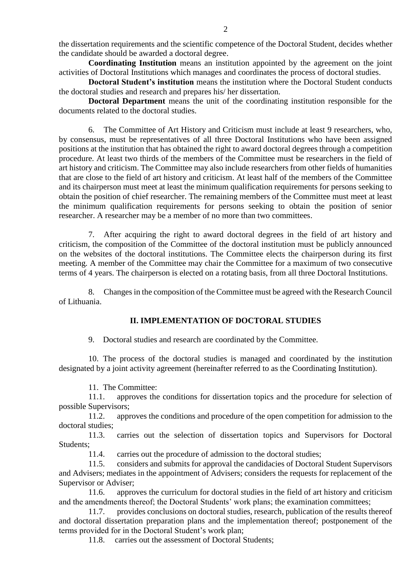the dissertation requirements and the scientific competence of the Doctoral Student, decides whether the candidate should be awarded a doctoral degree.

**Coordinating Institution** means an institution appointed by the agreement on the joint activities of Doctoral Institutions which manages and coordinates the process of doctoral studies.

**Doctoral Student's institution** means the institution where the Doctoral Student conducts the doctoral studies and research and prepares his/ her dissertation.

**Doctoral Department** means the unit of the coordinating institution responsible for the documents related to the doctoral studies.

6. The Committee of Art History and Criticism must include at least 9 researchers, who, by consensus, must be representatives of all three Doctoral Institutions who have been assigned positions at the institution that has obtained the right to award doctoral degrees through a competition procedure. At least two thirds of the members of the Committee must be researchers in the field of art history and criticism. The Committee may also include researchers from other fields of humanities that are close to the field of art history and criticism. At least half of the members of the Committee and its chairperson must meet at least the minimum qualification requirements for persons seeking to obtain the position of chief researcher. The remaining members of the Committee must meet at least the minimum qualification requirements for persons seeking to obtain the position of senior researcher. A researcher may be a member of no more than two committees.

7. After acquiring the right to award doctoral degrees in the field of art history and criticism, the composition of the Committee of the doctoral institution must be publicly announced on the websites of the doctoral institutions. The Committee elects the chairperson during its first meeting. A member of the Committee may chair the Committee for a maximum of two consecutive terms of 4 years. The chairperson is elected on a rotating basis, from all three Doctoral Institutions.

8. Changes in the composition of the Committee must be agreed with the Research Council of Lithuania.

### **II. IMPLEMENTATION OF DOCTORAL STUDIES**

9. Doctoral studies and research are coordinated by the Committee.

10. The process of the doctoral studies is managed and coordinated by the institution designated by a joint activity agreement (hereinafter referred to as the Coordinating Institution).

11. The Committee:

11.1. approves the conditions for dissertation topics and the procedure for selection of possible Supervisors;

11.2. approves the conditions and procedure of the open competition for admission to the doctoral studies;

11.3. carries out the selection of dissertation topics and Supervisors for Doctoral Students:

11.4. carries out the procedure of admission to the doctoral studies;

11.5. considers and submits for approval the candidacies of Doctoral Student Supervisors and Advisers; mediates in the appointment of Advisers; considers the requests for replacement of the Supervisor or Adviser;

11.6. approves the curriculum for doctoral studies in the field of art history and criticism and the amendments thereof; the Doctoral Students' work plans; the examination committees;

11.7. provides conclusions on doctoral studies, research, publication of the results thereof and doctoral dissertation preparation plans and the implementation thereof; postponement of the terms provided for in the Doctoral Student's work plan;

11.8. carries out the assessment of Doctoral Students;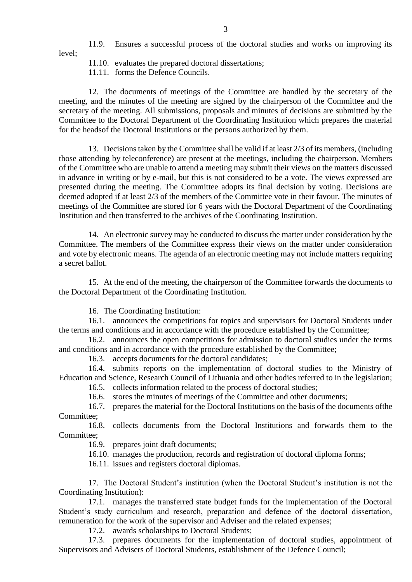11.9. Ensures a successful process of the doctoral studies and works on improving its

level;

- 11.10. evaluates the prepared doctoral dissertations;
- 11.11. forms the Defence Councils.

12. The documents of meetings of the Committee are handled by the secretary of the meeting, and the minutes of the meeting are signed by the chairperson of the Committee and the secretary of the meeting. All submissions, proposals and minutes of decisions are submitted by the Committee to the Doctoral Department of the Coordinating Institution which prepares the material for the headsof the Doctoral Institutions or the persons authorized by them.

13. Decisions taken by the Committee shall be valid if at least 2/3 of its members, (including those attending by teleconference) are present at the meetings, including the chairperson. Members of the Committee who are unable to attend a meeting may submit their views on the matters discussed in advance in writing or by e-mail, but this is not considered to be a vote. The views expressed are presented during the meeting. The Committee adopts its final decision by voting. Decisions are deemed adopted if at least 2/3 of the members of the Committee vote in their favour. The minutes of meetings of the Committee are stored for 6 years with the Doctoral Department of the Coordinating Institution and then transferred to the archives of the Coordinating Institution.

14. An electronic survey may be conducted to discuss the matter under consideration by the Committee. The members of the Committee express their views on the matter under consideration and vote by electronic means. The agenda of an electronic meeting may not include matters requiring a secret ballot.

15. At the end of the meeting, the chairperson of the Committee forwards the documents to the Doctoral Department of the Coordinating Institution.

16. The Coordinating Institution:

16.1. announces the competitions for topics and supervisors for Doctoral Students under the terms and conditions and in accordance with the procedure established by the Committee;

16.2. announces the open competitions for admission to doctoral studies under the terms and conditions and in accordance with the procedure established by the Committee;

16.3. accepts documents for the doctoral candidates;

16.4. submits reports on the implementation of doctoral studies to the Ministry of Education and Science, Research Council of Lithuania and other bodies referred to in the legislation;

16.5. collects information related to the process of doctoral studies;

16.6. stores the minutes of meetings of the Committee and other documents;

16.7. prepares the material for the Doctoral Institutions on the basis of the documents ofthe Committee:

16.8. collects documents from the Doctoral Institutions and forwards them to the Committee;

16.9. prepares joint draft documents;

16.10. manages the production, records and registration of doctoral diploma forms;

16.11. issues and registers doctoral diplomas.

17. The Doctoral Student's institution (when the Doctoral Student's institution is not the Coordinating Institution):

17.1. manages the transferred state budget funds for the implementation of the Doctoral Student's study curriculum and research, preparation and defence of the doctoral dissertation, remuneration for the work of the supervisor and Adviser and the related expenses;

17.2. awards scholarships to Doctoral Students;

17.3. prepares documents for the implementation of doctoral studies, appointment of Supervisors and Advisers of Doctoral Students, establishment of the Defence Council;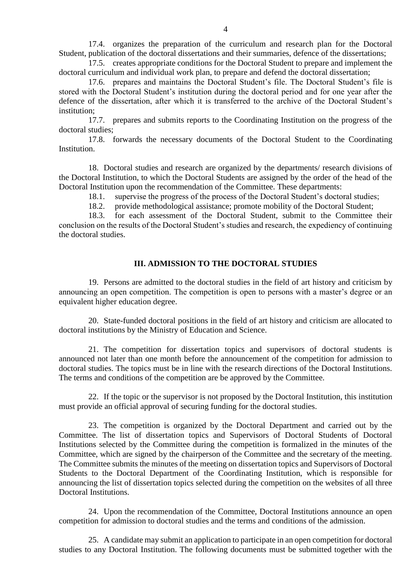17.4. organizes the preparation of the curriculum and research plan for the Doctoral Student, publication of the doctoral dissertations and their summaries, defence of the dissertations;

17.5. creates appropriate conditions for the Doctoral Student to prepare and implement the doctoral curriculum and individual work plan, to prepare and defend the doctoral dissertation;

17.6. prepares and maintains the Doctoral Student's file. The Doctoral Student's file is stored with the Doctoral Student's institution during the doctoral period and for one year after the defence of the dissertation, after which it is transferred to the archive of the Doctoral Student's institution;

17.7. prepares and submits reports to the Coordinating Institution on the progress of the doctoral studies;

17.8. forwards the necessary documents of the Doctoral Student to the Coordinating **Institution** 

18. Doctoral studies and research are organized by the departments/ research divisions of the Doctoral Institution, to which the Doctoral Students are assigned by the order of the head of the Doctoral Institution upon the recommendation of the Committee. These departments:

18.1. supervise the progress of the process of the Doctoral Student's doctoral studies;

18.2. provide methodological assistance; promote mobility of the Doctoral Student;

18.3. for each assessment of the Doctoral Student, submit to the Committee their conclusion on the results of the Doctoral Student's studies and research, the expediency of continuing the doctoral studies.

## **III. ADMISSION TO THE DOCTORAL STUDIES**

19. Persons are admitted to the doctoral studies in the field of art history and criticism by announcing an open competition. The competition is open to persons with a master's degree or an equivalent higher education degree.

20. State-funded doctoral positions in the field of art history and criticism are allocated to doctoral institutions by the Ministry of Education and Science.

21. The competition for dissertation topics and supervisors of doctoral students is announced not later than one month before the announcement of the competition for admission to doctoral studies. The topics must be in line with the research directions of the Doctoral Institutions. The terms and conditions of the competition are be approved by the Committee.

22. If the topic or the supervisor is not proposed by the Doctoral Institution, this institution must provide an official approval of securing funding for the doctoral studies.

23. The competition is organized by the Doctoral Department and carried out by the Committee. The list of dissertation topics and Supervisors of Doctoral Students of Doctoral Institutions selected by the Committee during the competition is formalized in the minutes of the Committee, which are signed by the chairperson of the Committee and the secretary of the meeting. The Committee submits the minutes of the meeting on dissertation topics and Supervisors of Doctoral Students to the Doctoral Department of the Coordinating Institution, which is responsible for announcing the list of dissertation topics selected during the competition on the websites of all three Doctoral Institutions.

24. Upon the recommendation of the Committee, Doctoral Institutions announce an open competition for admission to doctoral studies and the terms and conditions of the admission.

25. A candidate may submit an application to participate in an open competition for doctoral studies to any Doctoral Institution. The following documents must be submitted together with the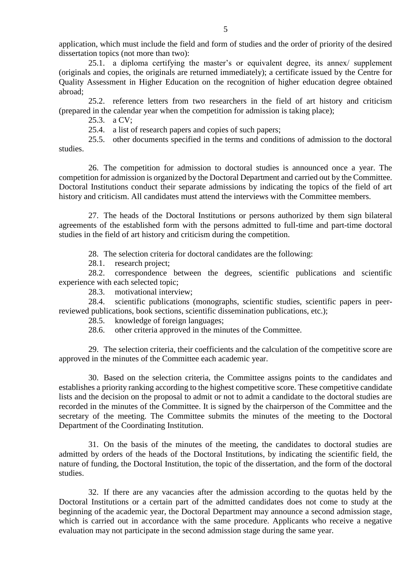application, which must include the field and form of studies and the order of priority of the desired dissertation topics (not more than two):

25.1. a diploma certifying the master's or equivalent degree, its annex/ supplement (originals and copies, the originals are returned immediately); a certificate issued by the Centre for Quality Assessment in Higher Education on the recognition of higher education degree obtained abroad;

25.2. reference letters from two researchers in the field of art history and criticism (prepared in the calendar year when the competition for admission is taking place);

25.3. a CV;

25.4. a list of research papers and copies of such papers;

25.5. other documents specified in the terms and conditions of admission to the doctoral studies.

26. The competition for admission to doctoral studies is announced once a year. The competition for admission is organized by the Doctoral Department and carried out by the Committee. Doctoral Institutions conduct their separate admissions by indicating the topics of the field of art history and criticism. All candidates must attend the interviews with the Committee members.

27. The heads of the Doctoral Institutions or persons authorized by them sign bilateral agreements of the established form with the persons admitted to full-time and part-time doctoral studies in the field of art history and criticism during the competition.

28. The selection criteria for doctoral candidates are the following:

28.1. research project;

28.2. correspondence between the degrees, scientific publications and scientific experience with each selected topic;

28.3. motivational interview;

28.4. scientific publications (monographs, scientific studies, scientific papers in peerreviewed publications, book sections, scientific dissemination publications, etc.);

28.5. knowledge of foreign languages;

28.6. other criteria approved in the minutes of the Committee.

29. The selection criteria, their coefficients and the calculation of the competitive score are approved in the minutes of the Committee each academic year.

30. Based on the selection criteria, the Committee assigns points to the candidates and establishes a priority ranking according to the highest competitive score. These competitive candidate lists and the decision on the proposal to admit or not to admit a candidate to the doctoral studies are recorded in the minutes of the Committee. It is signed by the chairperson of the Committee and the secretary of the meeting. The Committee submits the minutes of the meeting to the Doctoral Department of the Coordinating Institution.

31. On the basis of the minutes of the meeting, the candidates to doctoral studies are admitted by orders of the heads of the Doctoral Institutions, by indicating the scientific field, the nature of funding, the Doctoral Institution, the topic of the dissertation, and the form of the doctoral studies.

32. If there are any vacancies after the admission according to the quotas held by the Doctoral Institutions or a certain part of the admitted candidates does not come to study at the beginning of the academic year, the Doctoral Department may announce a second admission stage, which is carried out in accordance with the same procedure. Applicants who receive a negative evaluation may not participate in the second admission stage during the same year.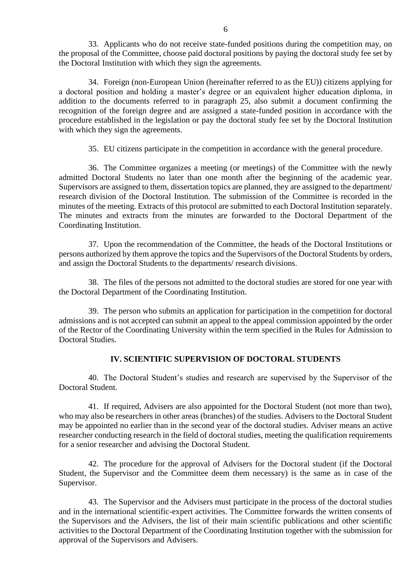33. Applicants who do not receive state-funded positions during the competition may, on the proposal of the Committee, choose paid doctoral positions by paying the doctoral study fee set by the Doctoral Institution with which they sign the agreements.

34. Foreign (non-European Union (hereinafter referred to as the EU)) citizens applying for a doctoral position and holding a master's degree or an equivalent higher education diploma, in addition to the documents referred to in paragraph 25, also submit a document confirming the recognition of the foreign degree and are assigned a state-funded position in accordance with the procedure established in the legislation or pay the doctoral study fee set by the Doctoral Institution with which they sign the agreements.

35. EU citizens participate in the competition in accordance with the general procedure.

36. The Committee organizes a meeting (or meetings) of the Committee with the newly admitted Doctoral Students no later than one month after the beginning of the academic year. Supervisors are assigned to them, dissertation topics are planned, they are assigned to the department/ research division of the Doctoral Institution. The submission of the Committee is recorded in the minutes of the meeting. Extracts of this protocol are submitted to each Doctoral Institution separately. The minutes and extracts from the minutes are forwarded to the Doctoral Department of the Coordinating Institution.

37. Upon the recommendation of the Committee, the heads of the Doctoral Institutions or persons authorized by them approve the topics and the Supervisors of the Doctoral Students by orders, and assign the Doctoral Students to the departments/ research divisions.

38. The files of the persons not admitted to the doctoral studies are stored for one year with the Doctoral Department of the Coordinating Institution.

39. The person who submits an application for participation in the competition for doctoral admissions and is not accepted can submit an appeal to the appeal commission appointed by the order of the Rector of the Coordinating University within the term specified in the Rules for Admission to Doctoral Studies.

## **IV. SCIENTIFIC SUPERVISION OF DOCTORAL STUDENTS**

40. The Doctoral Student's studies and research are supervised by the Supervisor of the Doctoral Student.

41. If required, Advisers are also appointed for the Doctoral Student (not more than two), who may also be researchers in other areas (branches) of the studies. Advisers to the Doctoral Student may be appointed no earlier than in the second year of the doctoral studies. Adviser means an active researcher conducting research in the field of doctoral studies, meeting the qualification requirements for a senior researcher and advising the Doctoral Student.

42. The procedure for the approval of Advisers for the Doctoral student (if the Doctoral Student, the Supervisor and the Committee deem them necessary) is the same as in case of the Supervisor.

43. The Supervisor and the Advisers must participate in the process of the doctoral studies and in the international scientific-expert activities. The Committee forwards the written consents of the Supervisors and the Advisers, the list of their main scientific publications and other scientific activities to the Doctoral Department of the Coordinating Institution together with the submission for approval of the Supervisors and Advisers.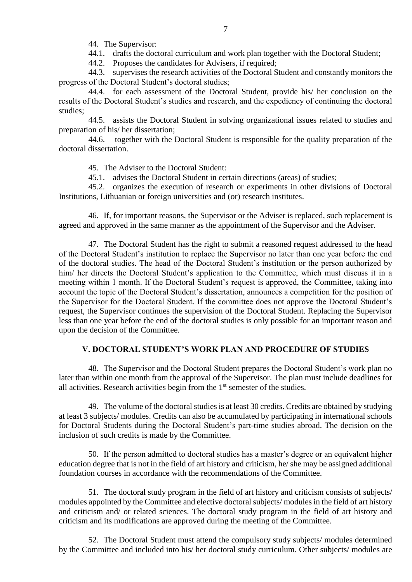44. The Supervisor:

44.1. drafts the doctoral curriculum and work plan together with the Doctoral Student;

44.2. Proposes the candidates for Advisers, if required;

44.3. supervises the research activities of the Doctoral Student and constantly monitors the progress of the Doctoral Student's doctoral studies;

44.4. for each assessment of the Doctoral Student, provide his/ her conclusion on the results of the Doctoral Student's studies and research, and the expediency of continuing the doctoral studies;

44.5. assists the Doctoral Student in solving organizational issues related to studies and preparation of his/ her dissertation;

44.6. together with the Doctoral Student is responsible for the quality preparation of the doctoral dissertation.

45. The Adviser to the Doctoral Student:

45.1. advises the Doctoral Student in certain directions (areas) of studies;

45.2. organizes the execution of research or experiments in other divisions of Doctoral Institutions, Lithuanian or foreign universities and (or) research institutes.

46. If, for important reasons, the Supervisor or the Adviser is replaced, such replacement is agreed and approved in the same manner as the appointment of the Supervisor and the Adviser.

47. The Doctoral Student has the right to submit a reasoned request addressed to the head of the Doctoral Student's institution to replace the Supervisor no later than one year before the end of the doctoral studies. The head of the Doctoral Student's institution or the person authorized by him/ her directs the Doctoral Student's application to the Committee, which must discuss it in a meeting within 1 month. If the Doctoral Student's request is approved, the Committee, taking into account the topic of the Doctoral Student's dissertation, announces a competition for the position of the Supervisor for the Doctoral Student. If the committee does not approve the Doctoral Student's request, the Supervisor continues the supervision of the Doctoral Student. Replacing the Supervisor less than one year before the end of the doctoral studies is only possible for an important reason and upon the decision of the Committee.

## **V. DOCTORAL STUDENT'S WORK PLAN AND PROCEDURE OF STUDIES**

48. The Supervisor and the Doctoral Student prepares the Doctoral Student's work plan no later than within one month from the approval of the Supervisor. The plan must include deadlines for all activities. Research activities begin from the  $1<sup>st</sup>$  semester of the studies.

49. The volume of the doctoral studies is at least 30 credits. Credits are obtained by studying at least 3 subjects/ modules. Credits can also be accumulated by participating in international schools for Doctoral Students during the Doctoral Student's part-time studies abroad. The decision on the inclusion of such credits is made by the Committee.

50. If the person admitted to doctoral studies has a master's degree or an equivalent higher education degree that is not in the field of art history and criticism, he/ she may be assigned additional foundation courses in accordance with the recommendations of the Committee.

51. The doctoral study program in the field of art history and criticism consists of subjects/ modules appointed by the Committee and elective doctoral subjects/ modules in the field of art history and criticism and/ or related sciences. The doctoral study program in the field of art history and criticism and its modifications are approved during the meeting of the Committee.

52. The Doctoral Student must attend the compulsory study subjects/ modules determined by the Committee and included into his/ her doctoral study curriculum. Other subjects/ modules are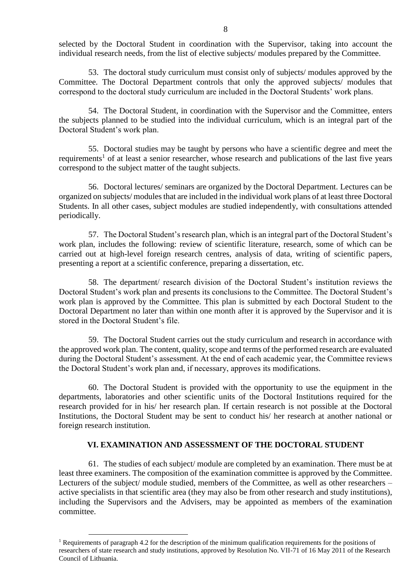selected by the Doctoral Student in coordination with the Supervisor, taking into account the individual research needs, from the list of elective subjects/ modules prepared by the Committee.

53. The doctoral study curriculum must consist only of subjects/ modules approved by the Committee. The Doctoral Department controls that only the approved subjects/ modules that correspond to the doctoral study curriculum are included in the Doctoral Students' work plans.

54. The Doctoral Student, in coordination with the Supervisor and the Committee, enters the subjects planned to be studied into the individual curriculum, which is an integral part of the Doctoral Student's work plan.

55. Doctoral studies may be taught by persons who have a scientific degree and meet the requirements<sup>1</sup> of at least a senior researcher, whose research and publications of the last five years correspond to the subject matter of the taught subjects.

56. Doctoral lectures/ seminars are organized by the Doctoral Department. Lectures can be organized on subjects/ modules that are included in the individual work plans of at least three Doctoral Students. In all other cases, subject modules are studied independently, with consultations attended periodically.

57. The Doctoral Student's research plan, which is an integral part of the Doctoral Student's work plan, includes the following: review of scientific literature, research, some of which can be carried out at high-level foreign research centres, analysis of data, writing of scientific papers, presenting a report at a scientific conference, preparing a dissertation, etc.

58. The department/ research division of the Doctoral Student's institution reviews the Doctoral Student's work plan and presents its conclusions to the Committee. The Doctoral Student's work plan is approved by the Committee. This plan is submitted by each Doctoral Student to the Doctoral Department no later than within one month after it is approved by the Supervisor and it is stored in the Doctoral Student's file.

59. The Doctoral Student carries out the study curriculum and research in accordance with the approved work plan. The content, quality, scope and terms of the performed research are evaluated during the Doctoral Student's assessment. At the end of each academic year, the Committee reviews the Doctoral Student's work plan and, if necessary, approves its modifications.

60. The Doctoral Student is provided with the opportunity to use the equipment in the departments, laboratories and other scientific units of the Doctoral Institutions required for the research provided for in his/ her research plan. If certain research is not possible at the Doctoral Institutions, the Doctoral Student may be sent to conduct his/ her research at another national or foreign research institution.

### **VI. EXAMINATION AND ASSESSMENT OF THE DOCTORAL STUDENT**

61. The studies of each subject/ module are completed by an examination. There must be at least three examiners. The composition of the examination committee is approved by the Committee. Lecturers of the subject/ module studied, members of the Committee, as well as other researchers – active specialists in that scientific area (they may also be from other research and study institutions), including the Supervisors and the Advisers, may be appointed as members of the examination committee.

 $\overline{a}$ 

<sup>&</sup>lt;sup>1</sup> Requirements of paragraph 4.2 for the description of the minimum qualification requirements for the positions of researchers of state research and study institutions, approved by Resolution No. VII-71 of 16 May 2011 of the Research Council of Lithuania.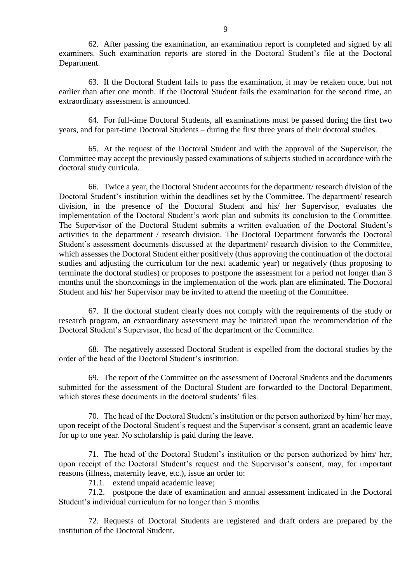62. After passing the examination, an examination report is completed and signed by all examiners. Such examination reports are stored in the Doctoral Student's file at the Doctoral Department.

63. If the Doctoral Student fails to pass the examination, it may be retaken once, but not earlier than after one month. If the Doctoral Student fails the examination for the second time, an extraordinary assessment is announced.

64. For full-time Doctoral Students, all examinations must be passed during the first two years, and for part-time Doctoral Students – during the first three years of their doctoral studies.

65. At the request of the Doctoral Student and with the approval of the Supervisor, the Committee may accept the previously passed examinations of subjects studied in accordance with the doctoral study curricula.

66. Twice a year, the Doctoral Student accounts for the department/ research division of the Doctoral Student's institution within the deadlines set by the Committee. The department/ research division, in the presence of the Doctoral Student and his/ her Supervisor, evaluates the implementation of the Doctoral Student's work plan and submits its conclusion to the Committee. The Supervisor of the Doctoral Student submits a written evaluation of the Doctoral Student's activities to the department / research division. The Doctoral Department forwards the Doctoral Student's assessment documents discussed at the department/ research division to the Committee, which assesses the Doctoral Student either positively (thus approving the continuation of the doctoral studies and adjusting the curriculum for the next academic year) or negatively (thus proposing to terminate the doctoral studies) or proposes to postpone the assessment for a period not longer than 3 months until the shortcomings in the implementation of the work plan are eliminated. The Doctoral Student and his/ her Supervisor may be invited to attend the meeting of the Committee.

67. If the doctoral student clearly does not comply with the requirements of the study or research program, an extraordinary assessment may be initiated upon the recommendation of the Doctoral Student's Supervisor, the head of the department or the Committee.

68. The negatively assessed Doctoral Student is expelled from the doctoral studies by the order of the head of the Doctoral Student's institution.

69. The report of the Committee on the assessment of Doctoral Students and the documents submitted for the assessment of the Doctoral Student are forwarded to the Doctoral Department, which stores these documents in the doctoral students' files.

70. The head of the Doctoral Student's institution or the person authorized by him/ her may, upon receipt of the Doctoral Student's request and the Supervisor's consent, grant an academic leave for up to one year. No scholarship is paid during the leave.

71. The head of the Doctoral Student's institution or the person authorized by him/ her, upon receipt of the Doctoral Student's request and the Supervisor's consent, may, for important reasons (illness, maternity leave, etc.), issue an order to:

71.1. extend unpaid academic leave;

71.2. postpone the date of examination and annual assessment indicated in the Doctoral Student's individual curriculum for no longer than 3 months.

72. Requests of Doctoral Students are registered and draft orders are prepared by the institution of the Doctoral Student.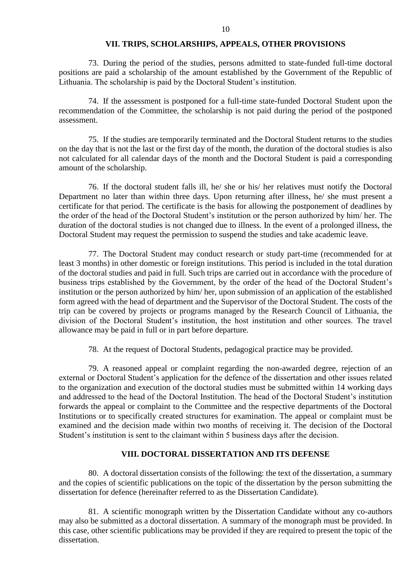### **VII. TRIPS, SCHOLARSHIPS, APPEALS, OTHER PROVISIONS**

73. During the period of the studies, persons admitted to state-funded full-time doctoral positions are paid a scholarship of the amount established by the Government of the Republic of Lithuania. The scholarship is paid by the Doctoral Student's institution.

74. If the assessment is postponed for a full-time state-funded Doctoral Student upon the recommendation of the Committee, the scholarship is not paid during the period of the postponed assessment.

75. If the studies are temporarily terminated and the Doctoral Student returns to the studies on the day that is not the last or the first day of the month, the duration of the doctoral studies is also not calculated for all calendar days of the month and the Doctoral Student is paid a corresponding amount of the scholarship.

76. If the doctoral student falls ill, he/ she or his/ her relatives must notify the Doctoral Department no later than within three days. Upon returning after illness, he/ she must present a certificate for that period. The certificate is the basis for allowing the postponement of deadlines by the order of the head of the Doctoral Student's institution or the person authorized by him/ her. The duration of the doctoral studies is not changed due to illness. In the event of a prolonged illness, the Doctoral Student may request the permission to suspend the studies and take academic leave.

77. The Doctoral Student may conduct research or study part-time (recommended for at least 3 months) in other domestic or foreign institutions. This period is included in the total duration of the doctoral studies and paid in full. Such trips are carried out in accordance with the procedure of business trips established by the Government, by the order of the head of the Doctoral Student's institution or the person authorized by him/ her, upon submission of an application of the established form agreed with the head of department and the Supervisor of the Doctoral Student. The costs of the trip can be covered by projects or programs managed by the Research Council of Lithuania, the division of the Doctoral Student's institution, the host institution and other sources. The travel allowance may be paid in full or in part before departure.

78. At the request of Doctoral Students, pedagogical practice may be provided.

79. A reasoned appeal or complaint regarding the non-awarded degree, rejection of an external or Doctoral Student's application for the defence of the dissertation and other issues related to the organization and execution of the doctoral studies must be submitted within 14 working days and addressed to the head of the Doctoral Institution. The head of the Doctoral Student's institution forwards the appeal or complaint to the Committee and the respective departments of the Doctoral Institutions or to specifically created structures for examination. The appeal or complaint must be examined and the decision made within two months of receiving it. The decision of the Doctoral Student's institution is sent to the claimant within 5 business days after the decision.

#### **VIII. DOCTORAL DISSERTATION AND ITS DEFENSE**

80. A doctoral dissertation consists of the following: the text of the dissertation, a summary and the copies of scientific publications on the topic of the dissertation by the person submitting the dissertation for defence (hereinafter referred to as the Dissertation Candidate).

81. A scientific monograph written by the Dissertation Candidate without any co-authors may also be submitted as a doctoral dissertation. A summary of the monograph must be provided. In this case, other scientific publications may be provided if they are required to present the topic of the dissertation.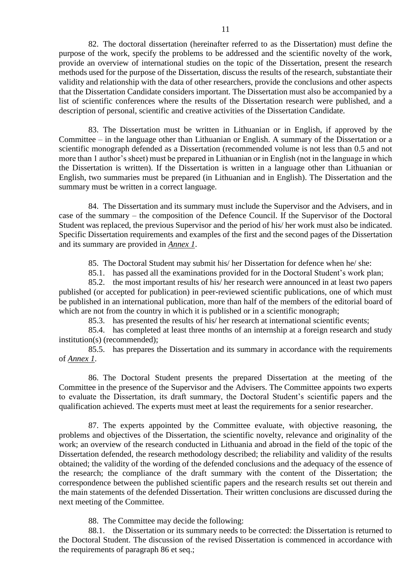82. The doctoral dissertation (hereinafter referred to as the Dissertation) must define the purpose of the work, specify the problems to be addressed and the scientific novelty of the work, provide an overview of international studies on the topic of the Dissertation, present the research methods used for the purpose of the Dissertation, discuss the results of the research, substantiate their validity and relationship with the data of other researchers, provide the conclusions and other aspects that the Dissertation Candidate considers important. The Dissertation must also be accompanied by a list of scientific conferences where the results of the Dissertation research were published, and a description of personal, scientific and creative activities of the Dissertation Candidate.

83. The Dissertation must be written in Lithuanian or in English, if approved by the Committee – in the language other than Lithuanian or English. A summary of the Dissertation or a scientific monograph defended as a Dissertation (recommended volume is not less than 0.5 and not more than 1 author's sheet) must be prepared in Lithuanian or in English (not in the language in which the Dissertation is written). If the Dissertation is written in a language other than Lithuanian or English, two summaries must be prepared (in Lithuanian and in English). The Dissertation and the summary must be written in a correct language.

84. The Dissertation and its summary must include the Supervisor and the Advisers, and in case of the summary – the composition of the Defence Council. If the Supervisor of the Doctoral Student was replaced, the previous Supervisor and the period of his/ her work must also be indicated. Specific Dissertation requirements and examples of the first and the second pages of the Dissertation and its summary are provided in *Annex 1*.

85. The Doctoral Student may submit his/ her Dissertation for defence when he/ she:

85.1. has passed all the examinations provided for in the Doctoral Student's work plan;

85.2. the most important results of his/ her research were announced in at least two papers published (or accepted for publication) in peer-reviewed scientific publications, one of which must be published in an international publication, more than half of the members of the editorial board of which are not from the country in which it is published or in a scientific monograph;

85.3. has presented the results of his/ her research at international scientific events;

85.4. has completed at least three months of an internship at a foreign research and study institution(s) (recommended);

85.5. has prepares the Dissertation and its summary in accordance with the requirements of *Annex 1*.

86. The Doctoral Student presents the prepared Dissertation at the meeting of the Committee in the presence of the Supervisor and the Advisers. The Committee appoints two experts to evaluate the Dissertation, its draft summary, the Doctoral Student's scientific papers and the qualification achieved. The experts must meet at least the requirements for a senior researcher.

87. The experts appointed by the Committee evaluate, with objective reasoning, the problems and objectives of the Dissertation, the scientific novelty, relevance and originality of the work; an overview of the research conducted in Lithuania and abroad in the field of the topic of the Dissertation defended, the research methodology described; the reliability and validity of the results obtained; the validity of the wording of the defended conclusions and the adequacy of the essence of the research; the compliance of the draft summary with the content of the Dissertation; the correspondence between the published scientific papers and the research results set out therein and the main statements of the defended Dissertation. Their written conclusions are discussed during the next meeting of the Committee.

88. The Committee may decide the following:

88.1. the Dissertation or its summary needs to be corrected: the Dissertation is returned to the Doctoral Student. The discussion of the revised Dissertation is commenced in accordance with the requirements of paragraph 86 et seq.;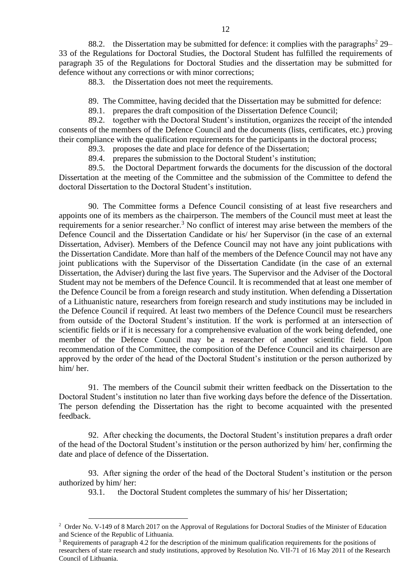88.2. the Dissertation may be submitted for defence: it complies with the paragraphs<sup>2</sup> 29– 33 of the Regulations for Doctoral Studies, the Doctoral Student has fulfilled the requirements of paragraph 35 of the Regulations for Doctoral Studies and the dissertation may be submitted for defence without any corrections or with minor corrections;

88.3. the Dissertation does not meet the requirements.

89. The Committee, having decided that the Dissertation may be submitted for defence:

89.1. prepares the draft composition of the Dissertation Defence Council;

89.2. together with the Doctoral Student's institution, organizes the receipt of the intended consents of the members of the Defence Council and the documents (lists, certificates, etc.) proving their compliance with the qualification requirements for the participants in the doctoral process;

89.3. proposes the date and place for defence of the Dissertation;

89.4. prepares the submission to the Doctoral Student's institution;

89.5. the Doctoral Department forwards the documents for the discussion of the doctoral Dissertation at the meeting of the Committee and the submission of the Committee to defend the doctoral Dissertation to the Doctoral Student's institution.

90. The Committee forms a Defence Council consisting of at least five researchers and appoints one of its members as the chairperson. The members of the Council must meet at least the requirements for a senior researcher.<sup>3</sup> No conflict of interest may arise between the members of the Defence Council and the Dissertation Candidate or his/ her Supervisor (in the case of an external Dissertation, Adviser). Members of the Defence Council may not have any joint publications with the Dissertation Candidate. More than half of the members of the Defence Council may not have any joint publications with the Supervisor of the Dissertation Candidate (in the case of an external Dissertation, the Adviser) during the last five years. The Supervisor and the Adviser of the Doctoral Student may not be members of the Defence Council. It is recommended that at least one member of the Defence Council be from a foreign research and study institution. When defending a Dissertation of a Lithuanistic nature, researchers from foreign research and study institutions may be included in the Defence Council if required. At least two members of the Defence Council must be researchers from outside of the Doctoral Student's institution. If the work is performed at an intersection of scientific fields or if it is necessary for a comprehensive evaluation of the work being defended, one member of the Defence Council may be a researcher of another scientific field. Upon recommendation of the Committee, the composition of the Defence Council and its chairperson are approved by the order of the head of the Doctoral Student's institution or the person authorized by him/ her.

91. The members of the Council submit their written feedback on the Dissertation to the Doctoral Student's institution no later than five working days before the defence of the Dissertation. The person defending the Dissertation has the right to become acquainted with the presented feedback.

92. After checking the documents, the Doctoral Student's institution prepares a draft order of the head of the Doctoral Student's institution or the person authorized by him/ her, confirming the date and place of defence of the Dissertation.

93. After signing the order of the head of the Doctoral Student's institution or the person authorized by him/ her:

93.1. the Doctoral Student completes the summary of his/ her Dissertation;

 $\overline{a}$ 

12

<sup>&</sup>lt;sup>2</sup> Order No. V-149 of 8 March 2017 on the Approval of Regulations for Doctoral Studies of the Minister of Education and Science of the Republic of Lithuania.

 $3$  Requirements of paragraph 4.2 for the description of the minimum qualification requirements for the positions of researchers of state research and study institutions, approved by Resolution No. VII-71 of 16 May 2011 of the Research Council of Lithuania.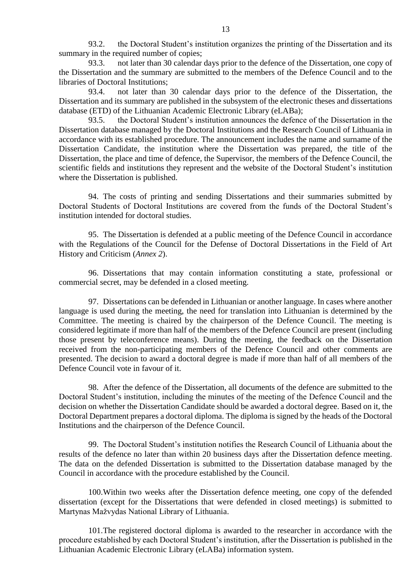93.2. the Doctoral Student's institution organizes the printing of the Dissertation and its summary in the required number of copies;

93.3. not later than 30 calendar days prior to the defence of the Dissertation, one copy of the Dissertation and the summary are submitted to the members of the Defence Council and to the libraries of Doctoral Institutions;

93.4. not later than 30 calendar days prior to the defence of the Dissertation, the Dissertation and its summary are published in the subsystem of the electronic theses and dissertations database (ETD) of the Lithuanian Academic Electronic Library (eLABa);

93.5. the Doctoral Student's institution announces the defence of the Dissertation in the Dissertation database managed by the Doctoral Institutions and the Research Council of Lithuania in accordance with its established procedure. The announcement includes the name and surname of the Dissertation Candidate, the institution where the Dissertation was prepared, the title of the Dissertation, the place and time of defence, the Supervisor, the members of the Defence Council, the scientific fields and institutions they represent and the website of the Doctoral Student's institution where the Dissertation is published.

94. The costs of printing and sending Dissertations and their summaries submitted by Doctoral Students of Doctoral Institutions are covered from the funds of the Doctoral Student's institution intended for doctoral studies.

95. The Dissertation is defended at a public meeting of the Defence Council in accordance with the Regulations of the Council for the Defense of Doctoral Dissertations in the Field of Art History and Criticism (*Annex 2*).

96. Dissertations that may contain information constituting a state, professional or commercial secret, may be defended in a closed meeting.

97. Dissertations can be defended in Lithuanian or another language. In cases where another language is used during the meeting, the need for translation into Lithuanian is determined by the Committee. The meeting is chaired by the chairperson of the Defence Council. The meeting is considered legitimate if more than half of the members of the Defence Council are present (including those present by teleconference means). During the meeting, the feedback on the Dissertation received from the non-participating members of the Defence Council and other comments are presented. The decision to award a doctoral degree is made if more than half of all members of the Defence Council vote in favour of it.

98. After the defence of the Dissertation, all documents of the defence are submitted to the Doctoral Student's institution, including the minutes of the meeting of the Defence Council and the decision on whether the Dissertation Candidate should be awarded a doctoral degree. Based on it, the Doctoral Department prepares a doctoral diploma. The diploma is signed by the heads of the Doctoral Institutions and the chairperson of the Defence Council.

99. The Doctoral Student's institution notifies the Research Council of Lithuania about the results of the defence no later than within 20 business days after the Dissertation defence meeting. The data on the defended Dissertation is submitted to the Dissertation database managed by the Council in accordance with the procedure established by the Council.

100.Within two weeks after the Dissertation defence meeting, one copy of the defended dissertation (except for the Dissertations that were defended in closed meetings) is submitted to Martynas Mažvydas National Library of Lithuania.

101.The registered doctoral diploma is awarded to the researcher in accordance with the procedure established by each Doctoral Student's institution, after the Dissertation is published in the Lithuanian Academic Electronic Library (eLABa) information system.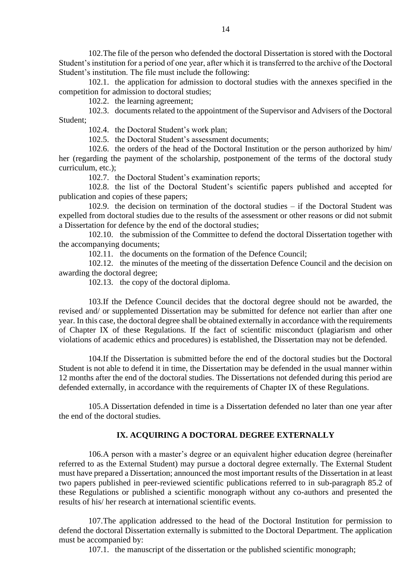102.The file of the person who defended the doctoral Dissertation is stored with the Doctoral Student's institution for a period of one year, after which it is transferred to the archive of the Doctoral Student's institution. The file must include the following:

102.1. the application for admission to doctoral studies with the annexes specified in the competition for admission to doctoral studies;

102.2. the learning agreement;

102.3. documents related to the appointment of the Supervisor and Advisers of the Doctoral Student;

102.4. the Doctoral Student's work plan;

102.5. the Doctoral Student's assessment documents;

102.6. the orders of the head of the Doctoral Institution or the person authorized by him/ her (regarding the payment of the scholarship, postponement of the terms of the doctoral study curriculum, etc.);

102.7. the Doctoral Student's examination reports;

102.8. the list of the Doctoral Student's scientific papers published and accepted for publication and copies of these papers;

102.9. the decision on termination of the doctoral studies – if the Doctoral Student was expelled from doctoral studies due to the results of the assessment or other reasons or did not submit a Dissertation for defence by the end of the doctoral studies;

102.10. the submission of the Committee to defend the doctoral Dissertation together with the accompanying documents;

102.11. the documents on the formation of the Defence Council;

102.12. the minutes of the meeting of the dissertation Defence Council and the decision on awarding the doctoral degree;

102.13. the copy of the doctoral diploma.

103.If the Defence Council decides that the doctoral degree should not be awarded, the revised and/ or supplemented Dissertation may be submitted for defence not earlier than after one year. In this case, the doctoral degree shall be obtained externally in accordance with the requirements of Chapter IX of these Regulations. If the fact of scientific misconduct (plagiarism and other violations of academic ethics and procedures) is established, the Dissertation may not be defended.

104.If the Dissertation is submitted before the end of the doctoral studies but the Doctoral Student is not able to defend it in time, the Dissertation may be defended in the usual manner within 12 months after the end of the doctoral studies. The Dissertations not defended during this period are defended externally, in accordance with the requirements of Chapter IX of these Regulations.

105.A Dissertation defended in time is a Dissertation defended no later than one year after the end of the doctoral studies.

## **IX. ACQUIRING A DOCTORAL DEGREE EXTERNALLY**

106.A person with a master's degree or an equivalent higher education degree (hereinafter referred to as the External Student) may pursue a doctoral degree externally. The External Student must have prepared a Dissertation; announced the most important results of the Dissertation in at least two papers published in peer-reviewed scientific publications referred to in sub-paragraph 85.2 of these Regulations or published a scientific monograph without any co-authors and presented the results of his/ her research at international scientific events.

107.The application addressed to the head of the Doctoral Institution for permission to defend the doctoral Dissertation externally is submitted to the Doctoral Department. The application must be accompanied by:

107.1. the manuscript of the dissertation or the published scientific monograph;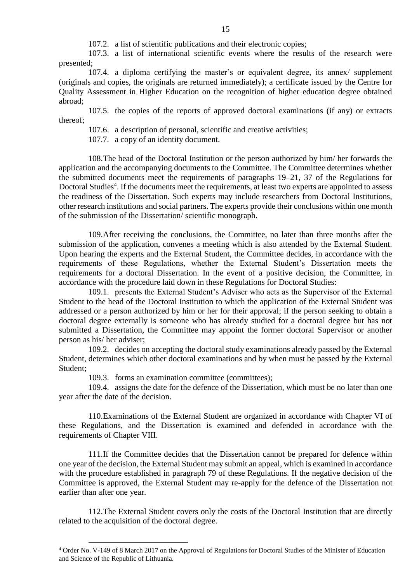107.2. a list of scientific publications and their electronic copies;

107.3. a list of international scientific events where the results of the research were presented;

107.4. a diploma certifying the master's or equivalent degree, its annex/ supplement (originals and copies, the originals are returned immediately); a certificate issued by the Centre for Quality Assessment in Higher Education on the recognition of higher education degree obtained abroad;

107.5. the copies of the reports of approved doctoral examinations (if any) or extracts thereof;

107.6. a description of personal, scientific and creative activities;

107.7. a copy of an identity document.

108.The head of the Doctoral Institution or the person authorized by him/ her forwards the application and the accompanying documents to the Committee. The Committee determines whether the submitted documents meet the requirements of paragraphs 19–21, 37 of the Regulations for Doctoral Studies<sup>4</sup>. If the documents meet the requirements, at least two experts are appointed to assess the readiness of the Dissertation. Such experts may include researchers from Doctoral Institutions, other research institutions and social partners. The experts provide their conclusions within one month of the submission of the Dissertation/ scientific monograph.

109.After receiving the conclusions, the Committee, no later than three months after the submission of the application, convenes a meeting which is also attended by the External Student. Upon hearing the experts and the External Student, the Committee decides, in accordance with the requirements of these Regulations, whether the External Student's Dissertation meets the requirements for a doctoral Dissertation. In the event of a positive decision, the Committee, in accordance with the procedure laid down in these Regulations for Doctoral Studies:

109.1. presents the External Student's Adviser who acts as the Supervisor of the External Student to the head of the Doctoral Institution to which the application of the External Student was addressed or a person authorized by him or her for their approval; if the person seeking to obtain a doctoral degree externally is someone who has already studied for a doctoral degree but has not submitted a Dissertation, the Committee may appoint the former doctoral Supervisor or another person as his/ her adviser;

109.2. decides on accepting the doctoral study examinations already passed by the External Student, determines which other doctoral examinations and by when must be passed by the External Student;

109.3. forms an examination committee (committees);

 $\overline{a}$ 

109.4. assigns the date for the defence of the Dissertation, which must be no later than one year after the date of the decision.

110.Examinations of the External Student are organized in accordance with Chapter VI of these Regulations, and the Dissertation is examined and defended in accordance with the requirements of Chapter VIII.

111.If the Committee decides that the Dissertation cannot be prepared for defence within one year of the decision, the External Student may submit an appeal, which is examined in accordance with the procedure established in paragraph 79 of these Regulations. If the negative decision of the Committee is approved, the External Student may re-apply for the defence of the Dissertation not earlier than after one year.

112.The External Student covers only the costs of the Doctoral Institution that are directly related to the acquisition of the doctoral degree.

<sup>4</sup> Order No. V-149 of 8 March 2017 on the Approval of Regulations for Doctoral Studies of the Minister of Education and Science of the Republic of Lithuania.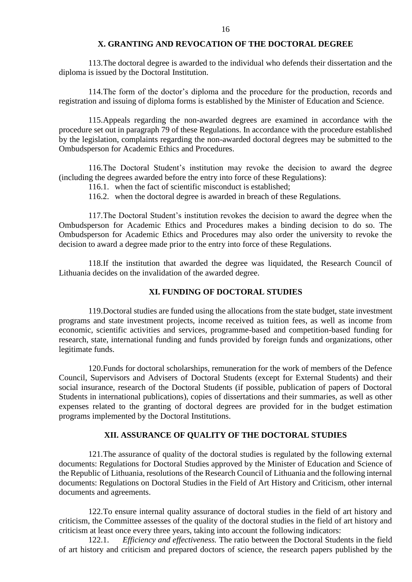### **X. GRANTING AND REVOCATION OF THE DOCTORAL DEGREE**

113.The doctoral degree is awarded to the individual who defends their dissertation and the diploma is issued by the Doctoral Institution.

114.The form of the doctor's diploma and the procedure for the production, records and registration and issuing of diploma forms is established by the Minister of Education and Science.

115.Appeals regarding the non-awarded degrees are examined in accordance with the procedure set out in paragraph 79 of these Regulations. In accordance with the procedure established by the legislation, complaints regarding the non-awarded doctoral degrees may be submitted to the Ombudsperson for Academic Ethics and Procedures.

116.The Doctoral Student's institution may revoke the decision to award the degree (including the degrees awarded before the entry into force of these Regulations):

- 116.1. when the fact of scientific misconduct is established;
- 116.2. when the doctoral degree is awarded in breach of these Regulations.

117.The Doctoral Student's institution revokes the decision to award the degree when the Ombudsperson for Academic Ethics and Procedures makes a binding decision to do so. The Ombudsperson for Academic Ethics and Procedures may also order the university to revoke the decision to award a degree made prior to the entry into force of these Regulations.

118.If the institution that awarded the degree was liquidated, the Research Council of Lithuania decides on the invalidation of the awarded degree.

### **XI. FUNDING OF DOCTORAL STUDIES**

119.Doctoral studies are funded using the allocations from the state budget, state investment programs and state investment projects, income received as tuition fees, as well as income from economic, scientific activities and services, programme-based and competition-based funding for research, state, international funding and funds provided by foreign funds and organizations, other legitimate funds.

120.Funds for doctoral scholarships, remuneration for the work of members of the Defence Council, Supervisors and Advisers of Doctoral Students (except for External Students) and their social insurance, research of the Doctoral Students (if possible, publication of papers of Doctoral Students in international publications), copies of dissertations and their summaries, as well as other expenses related to the granting of doctoral degrees are provided for in the budget estimation programs implemented by the Doctoral Institutions.

### **XII. ASSURANCE OF QUALITY OF THE DOCTORAL STUDIES**

121.The assurance of quality of the doctoral studies is regulated by the following external documents: Regulations for Doctoral Studies approved by the Minister of Education and Science of the Republic of Lithuania, resolutions of the Research Council of Lithuania and the following internal documents: Regulations on Doctoral Studies in the Field of Art History and Criticism, other internal documents and agreements.

122.To ensure internal quality assurance of doctoral studies in the field of art history and criticism, the Committee assesses of the quality of the doctoral studies in the field of art history and criticism at least once every three years, taking into account the following indicators:

122.1. *Efficiency and effectiveness.* The ratio between the Doctoral Students in the field of art history and criticism and prepared doctors of science, the research papers published by the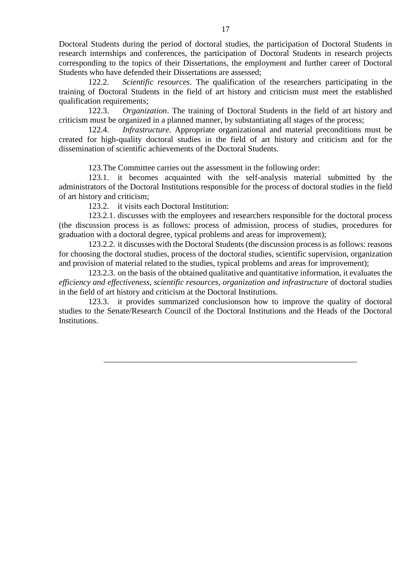Doctoral Students during the period of doctoral studies, the participation of Doctoral Students in research internships and conferences, the participation of Doctoral Students in research projects corresponding to the topics of their Dissertations, the employment and further career of Doctoral Students who have defended their Dissertations are assessed;

122.2. *Scientific resources*. The qualification of the researchers participating in the training of Doctoral Students in the field of art history and criticism must meet the established qualification requirements;

122.3. *Organization*. The training of Doctoral Students in the field of art history and criticism must be organized in a planned manner, by substantiating all stages of the process;

122.4. *Infrastructure.* Appropriate organizational and material preconditions must be created for high-quality doctoral studies in the field of art history and criticism and for the dissemination of scientific achievements of the Doctoral Students.

123.The Committee carries out the assessment in the following order:

123.1. it becomes acquainted with the self-analysis material submitted by the administrators of the Doctoral Institutions responsible for the process of doctoral studies in the field of art history and criticism;

123.2. it visits each Doctoral Institution:

123.2.1. discusses with the employees and researchers responsible for the doctoral process (the discussion process is as follows: process of admission, process of studies, procedures for graduation with a doctoral degree, typical problems and areas for improvement);

123.2.2. it discusses with the Doctoral Students (the discussion process is as follows: reasons for choosing the doctoral studies, process of the doctoral studies, scientific supervision, organization and provision of material related to the studies, typical problems and areas for improvement);

123.2.3. on the basis of the obtained qualitative and quantitative information, it evaluates the *efficiency and effectiveness, scientific resources, organization and infrastructure* of doctoral studies in the field of art history and criticism at the Doctoral Institutions.

123.3. it provides summarized conclusionson how to improve the quality of doctoral studies to the Senate/Research Council of the Doctoral Institutions and the Heads of the Doctoral Institutions.

\_\_\_\_\_\_\_\_\_\_\_\_\_\_\_\_\_\_\_\_\_\_\_\_\_\_\_\_\_\_\_\_\_\_\_\_\_\_\_\_\_\_\_\_\_\_\_\_\_\_\_\_\_\_\_\_\_\_\_\_\_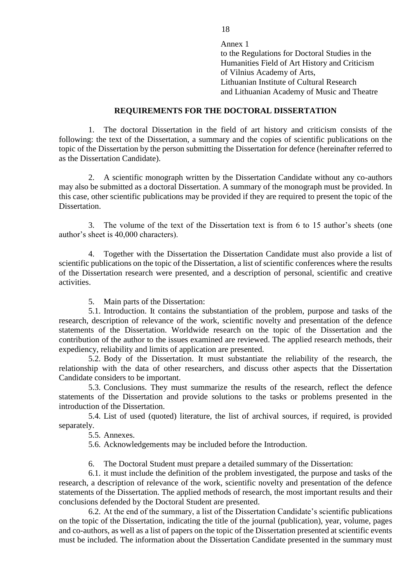Annex 1 to the Regulations for Doctoral Studies in the Humanities Field of Art History and Criticism of Vilnius Academy of Arts, Lithuanian Institute of Cultural Research and Lithuanian Academy of Music and Theatre

## **REQUIREMENTS FOR THE DOCTORAL DISSERTATION**

1. The doctoral Dissertation in the field of art history and criticism consists of the following: the text of the Dissertation, a summary and the copies of scientific publications on the topic of the Dissertation by the person submitting the Dissertation for defence (hereinafter referred to as the Dissertation Candidate).

2. A scientific monograph written by the Dissertation Candidate without any co-authors may also be submitted as a doctoral Dissertation. A summary of the monograph must be provided. In this case, other scientific publications may be provided if they are required to present the topic of the Dissertation.

3. The volume of the text of the Dissertation text is from 6 to 15 author's sheets (one author's sheet is 40,000 characters).

4. Together with the Dissertation the Dissertation Candidate must also provide a list of scientific publications on the topic of the Dissertation, a list of scientific conferences where the results of the Dissertation research were presented, and a description of personal, scientific and creative activities.

5. Main parts of the Dissertation:

5.1. Introduction. It contains the substantiation of the problem, purpose and tasks of the research, description of relevance of the work, scientific novelty and presentation of the defence statements of the Dissertation. Worldwide research on the topic of the Dissertation and the contribution of the author to the issues examined are reviewed. The applied research methods, their expediency, reliability and limits of application are presented.

5.2. Body of the Dissertation. It must substantiate the reliability of the research, the relationship with the data of other researchers, and discuss other aspects that the Dissertation Candidate considers to be important.

5.3. Conclusions. They must summarize the results of the research, reflect the defence statements of the Dissertation and provide solutions to the tasks or problems presented in the introduction of the Dissertation.

5.4. List of used (quoted) literature, the list of archival sources, if required, is provided separately.

5.5. Annexes.

5.6. Acknowledgements may be included before the Introduction.

6. The Doctoral Student must prepare a detailed summary of the Dissertation:

6.1. it must include the definition of the problem investigated, the purpose and tasks of the research, a description of relevance of the work, scientific novelty and presentation of the defence statements of the Dissertation. The applied methods of research, the most important results and their conclusions defended by the Doctoral Student are presented.

6.2. At the end of the summary, a list of the Dissertation Candidate's scientific publications on the topic of the Dissertation, indicating the title of the journal (publication), year, volume, pages and co-authors, as well as a list of papers on the topic of the Dissertation presented at scientific events must be included. The information about the Dissertation Candidate presented in the summary must

18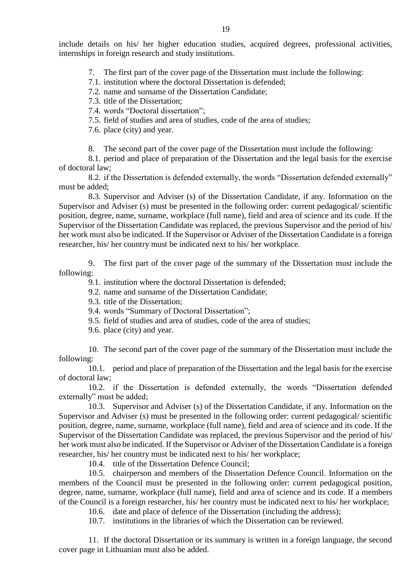include details on his/ her higher education studies, acquired degrees, professional activities, internships in foreign research and study institutions.

- 7. The first part of the cover page of the Dissertation must include the following:
- 7.1. institution where the doctoral Dissertation is defended;
- 7.2. name and surname of the Dissertation Candidate;
- 7.3. title of the Dissertation;
- 7.4. words "Doctoral dissertation";
- 7.5. field of studies and area of studies, code of the area of studies;

7.6. place (city) and year.

8. The second part of the cover page of the Dissertation must include the following:

8.1. period and place of preparation of the Dissertation and the legal basis for the exercise of doctoral law;

8.2. if the Dissertation is defended externally, the words "Dissertation defended externally" must be added;

8.3. Supervisor and Adviser (s) of the Dissertation Candidate, if any. Information on the Supervisor and Adviser (s) must be presented in the following order: current pedagogical/ scientific position, degree, name, surname, workplace (full name), field and area of science and its code. If the Supervisor of the Dissertation Candidate was replaced, the previous Supervisor and the period of his/ her work must also be indicated. If the Supervisor or Adviser of the Dissertation Candidate is a foreign researcher, his/ her country must be indicated next to his/ her workplace.

9. The first part of the cover page of the summary of the Dissertation must include the following:

9.1. institution where the doctoral Dissertation is defended;

- 9.2. name and surname of the Dissertation Candidate;
- 9.3. title of the Dissertation;
- 9.4. words "Summary of Doctoral Dissertation";
- 9.5. field of studies and area of studies, code of the area of studies;
- 9.6. place (city) and year.

10. The second part of the cover page of the summary of the Dissertation must include the following:

10.1. period and place of preparation of the Dissertation and the legal basis for the exercise of doctoral law;

10.2. if the Dissertation is defended externally, the words "Dissertation defended externally" must be added;

10.3. Supervisor and Adviser (s) of the Dissertation Candidate, if any. Information on the Supervisor and Adviser (s) must be presented in the following order: current pedagogical/ scientific position, degree, name, surname, workplace (full name), field and area of science and its code. If the Supervisor of the Dissertation Candidate was replaced, the previous Supervisor and the period of his/ her work must also be indicated. If the Supervisor or Adviser of the Dissertation Candidate is a foreign researcher, his/ her country must be indicated next to his/ her workplace;

10.4. title of the Dissertation Defence Council;

10.5. chairperson and members of the Dissertation Defence Council. Information on the members of the Council must be presented in the following order: current pedagogical position, degree, name, surname, workplace (full name), field and area of science and its code. If a members of the Council is a foreign researcher, his/ her country must be indicated next to his/ her workplace;

10.6. date and place of defence of the Dissertation (including the address);

10.7. institutions in the libraries of which the Dissertation can be reviewed.

11. If the doctoral Dissertation or its summary is written in a foreign language, the second cover page in Lithuanian must also be added.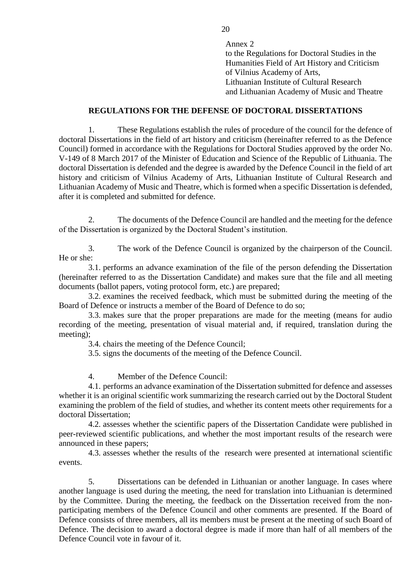Annex 2 to the Regulations for Doctoral Studies in the Humanities Field of Art History and Criticism of Vilnius Academy of Arts, Lithuanian Institute of Cultural Research and Lithuanian Academy of Music and Theatre

## **REGULATIONS FOR THE DEFENSE OF DOCTORAL DISSERTATIONS**

1. These Regulations establish the rules of procedure of the council for the defence of doctoral Dissertations in the field of art history and criticism (hereinafter referred to as the Defence Council) formed in accordance with the Regulations for Doctoral Studies approved by the order No. V-149 of 8 March 2017 of the Minister of Education and Science of the Republic of Lithuania. The doctoral Dissertation is defended and the degree is awarded by the Defence Council in the field of art history and criticism of Vilnius Academy of Arts, Lithuanian Institute of Cultural Research and Lithuanian Academy of Music and Theatre, which is formed when a specific Dissertation is defended, after it is completed and submitted for defence.

2. The documents of the Defence Council are handled and the meeting for the defence of the Dissertation is organized by the Doctoral Student's institution.

3. The work of the Defence Council is organized by the chairperson of the Council. He or she:

3.1. performs an advance examination of the file of the person defending the Dissertation (hereinafter referred to as the Dissertation Candidate) and makes sure that the file and all meeting documents (ballot papers, voting protocol form, etc.) are prepared;

3.2. examines the received feedback, which must be submitted during the meeting of the Board of Defence or instructs a member of the Board of Defence to do so;

3.3. makes sure that the proper preparations are made for the meeting (means for audio recording of the meeting, presentation of visual material and, if required, translation during the meeting);

3.4. chairs the meeting of the Defence Council;

3.5. signs the documents of the meeting of the Defence Council.

4. Member of the Defence Council:

4.1. performs an advance examination of the Dissertation submitted for defence and assesses whether it is an original scientific work summarizing the research carried out by the Doctoral Student examining the problem of the field of studies, and whether its content meets other requirements for a doctoral Dissertation;

4.2. assesses whether the scientific papers of the Dissertation Candidate were published in peer-reviewed scientific publications, and whether the most important results of the research were announced in these papers;

4.3. assesses whether the results of the research were presented at international scientific events.

5. Dissertations can be defended in Lithuanian or another language. In cases where another language is used during the meeting, the need for translation into Lithuanian is determined by the Committee. During the meeting, the feedback on the Dissertation received from the nonparticipating members of the Defence Council and other comments are presented. If the Board of Defence consists of three members, all its members must be present at the meeting of such Board of Defence. The decision to award a doctoral degree is made if more than half of all members of the Defence Council vote in favour of it.

20